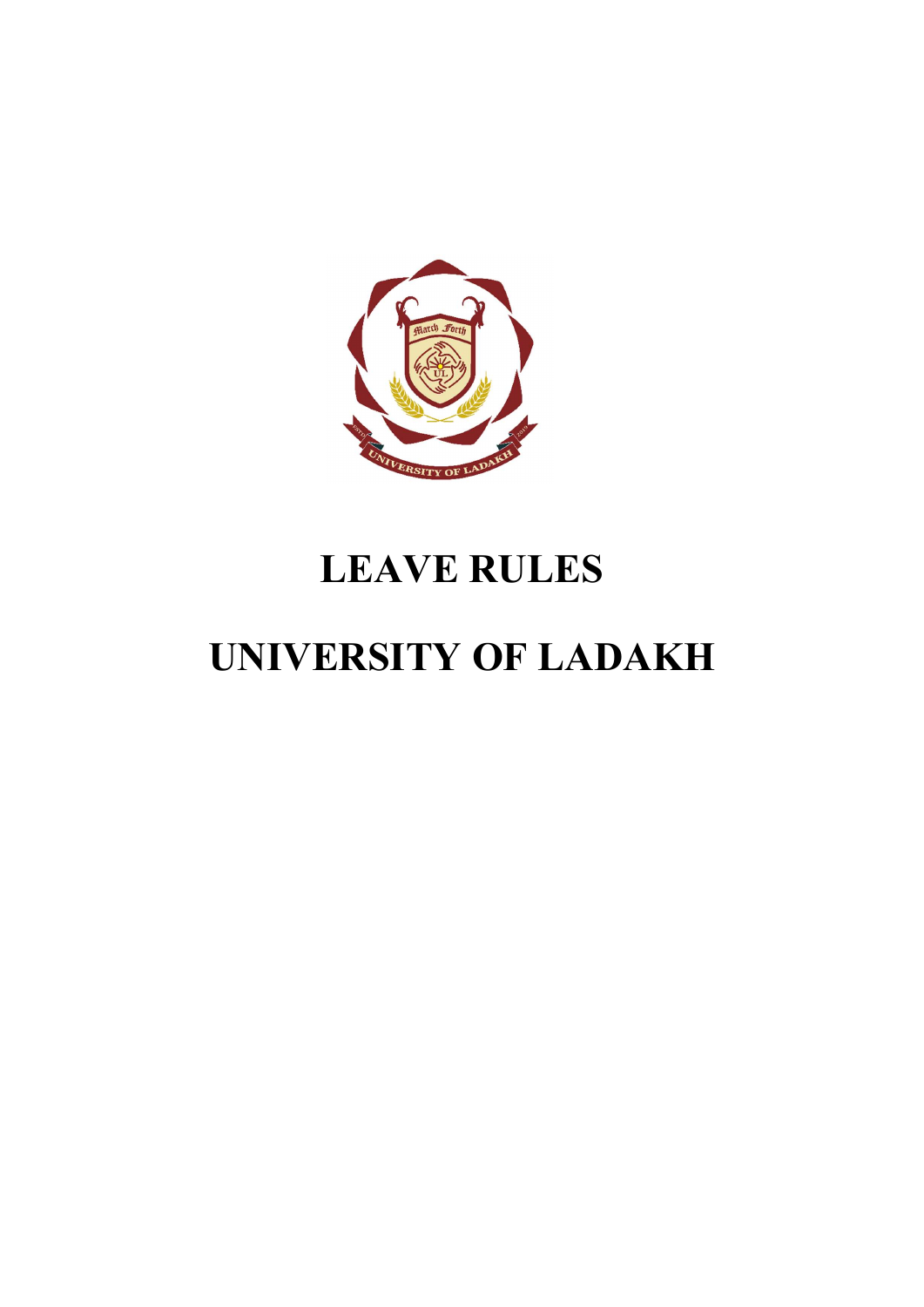

# LEAVE RULES

# UNIVERSITY OF LADAKH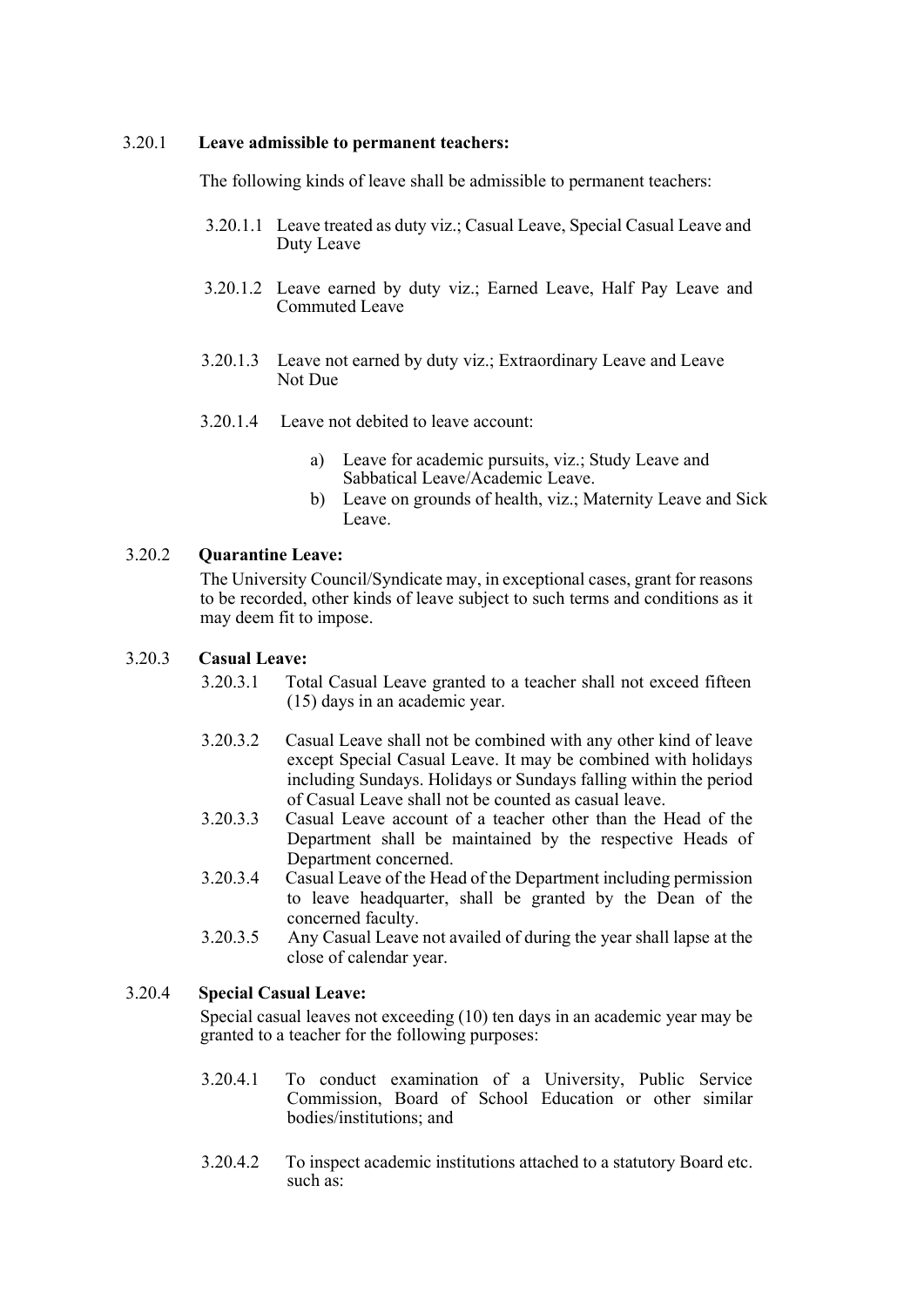#### 3.20.1 Leave admissible to permanent teachers:

The following kinds of leave shall be admissible to permanent teachers:

- 3.20.1.1 Leave treated as duty viz.; Casual Leave, Special Casual Leave and Duty Leave
- 3.20.1.2 Leave earned by duty viz.; Earned Leave, Half Pay Leave and Commuted Leave
- 3.20.1.3 Leave not earned by duty viz.; Extraordinary Leave and Leave Not Due
- 3.20.1.4 Leave not debited to leave account:
	- a) Leave for academic pursuits, viz.; Study Leave and Sabbatical Leave/Academic Leave.
	- b) Leave on grounds of health, viz.; Maternity Leave and Sick Leave.

## 3.20.2 Quarantine Leave:

The University Council/Syndicate may, in exceptional cases, grant for reasons to be recorded, other kinds of leave subject to such terms and conditions as it may deem fit to impose.

#### 3.20.3 Casual Leave:

- 3.20.3.1 Total Casual Leave granted to a teacher shall not exceed fifteen (15) days in an academic year.
- 3.20.3.2 Casual Leave shall not be combined with any other kind of leave except Special Casual Leave. It may be combined with holidays including Sundays. Holidays or Sundays falling within the period of Casual Leave shall not be counted as casual leave.
- 3.20.3.3 Casual Leave account of a teacher other than the Head of the Department shall be maintained by the respective Heads of Department concerned.
- 3.20.3.4 Casual Leave of the Head of the Department including permission to leave headquarter, shall be granted by the Dean of the concerned faculty.
- 3.20.3.5 Any Casual Leave not availed of during the year shall lapse at the close of calendar year.

## 3.20.4 Special Casual Leave:

Special casual leaves not exceeding (10) ten days in an academic year may be granted to a teacher for the following purposes:

- 3.20.4.1 To conduct examination of a University, Public Service Commission, Board of School Education or other similar bodies/institutions; and
- 3.20.4.2 To inspect academic institutions attached to a statutory Board etc. such as: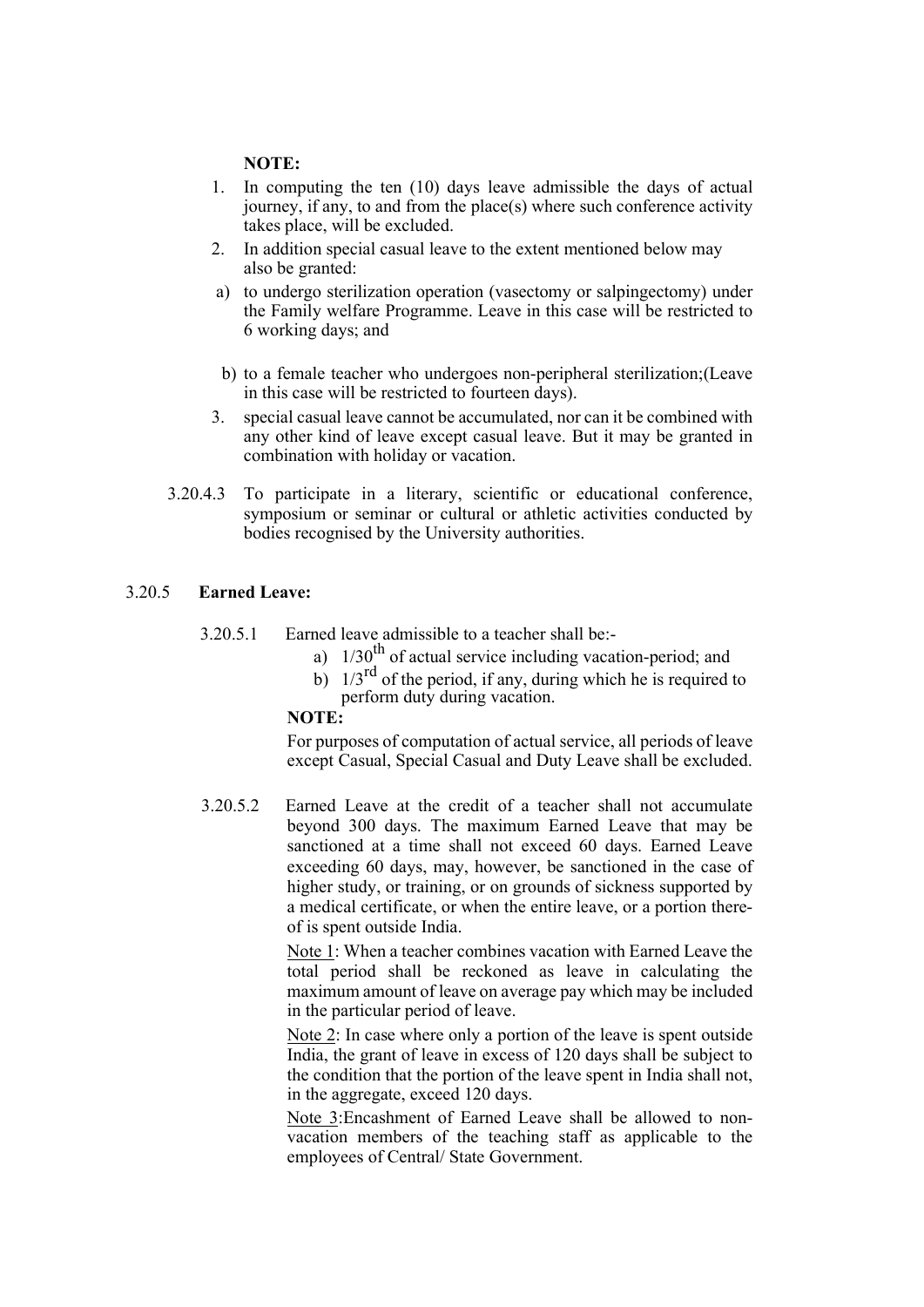#### NOTE:

- 1. In computing the ten (10) days leave admissible the days of actual journey, if any, to and from the place(s) where such conference activity takes place, will be excluded.
- 2. In addition special casual leave to the extent mentioned below may also be granted:
- a) to undergo sterilization operation (vasectomy or salpingectomy) under the Family welfare Programme. Leave in this case will be restricted to 6 working days; and
- b) to a female teacher who undergoes non-peripheral sterilization;(Leave in this case will be restricted to fourteen days).
- 3. special casual leave cannot be accumulated, nor can it be combined with any other kind of leave except casual leave. But it may be granted in combination with holiday or vacation.
- 3.20.4.3 To participate in a literary, scientific or educational conference, symposium or seminar or cultural or athletic activities conducted by bodies recognised by the University authorities.

#### 3.20.5 Earned Leave:

- 3.20.5.1 Earned leave admissible to a teacher shall be:
	- a)  $1/30<sup>th</sup>$  of actual service including vacation-period; and
	- b)  $1/3^{rd}$  of the period, if any, during which he is required to perform duty during vacation.

#### NOTE:

For purposes of computation of actual service, all periods of leave except Casual, Special Casual and Duty Leave shall be excluded.

3.20.5.2 Earned Leave at the credit of a teacher shall not accumulate beyond 300 days. The maximum Earned Leave that may be sanctioned at a time shall not exceed 60 days. Earned Leave exceeding 60 days, may, however, be sanctioned in the case of higher study, or training, or on grounds of sickness supported by a medical certificate, or when the entire leave, or a portion thereof is spent outside India.

> Note 1: When a teacher combines vacation with Earned Leave the total period shall be reckoned as leave in calculating the maximum amount of leave on average pay which may be included in the particular period of leave.

> Note 2: In case where only a portion of the leave is spent outside India, the grant of leave in excess of 120 days shall be subject to the condition that the portion of the leave spent in India shall not, in the aggregate, exceed 120 days.

> Note 3:Encashment of Earned Leave shall be allowed to nonvacation members of the teaching staff as applicable to the employees of Central/ State Government.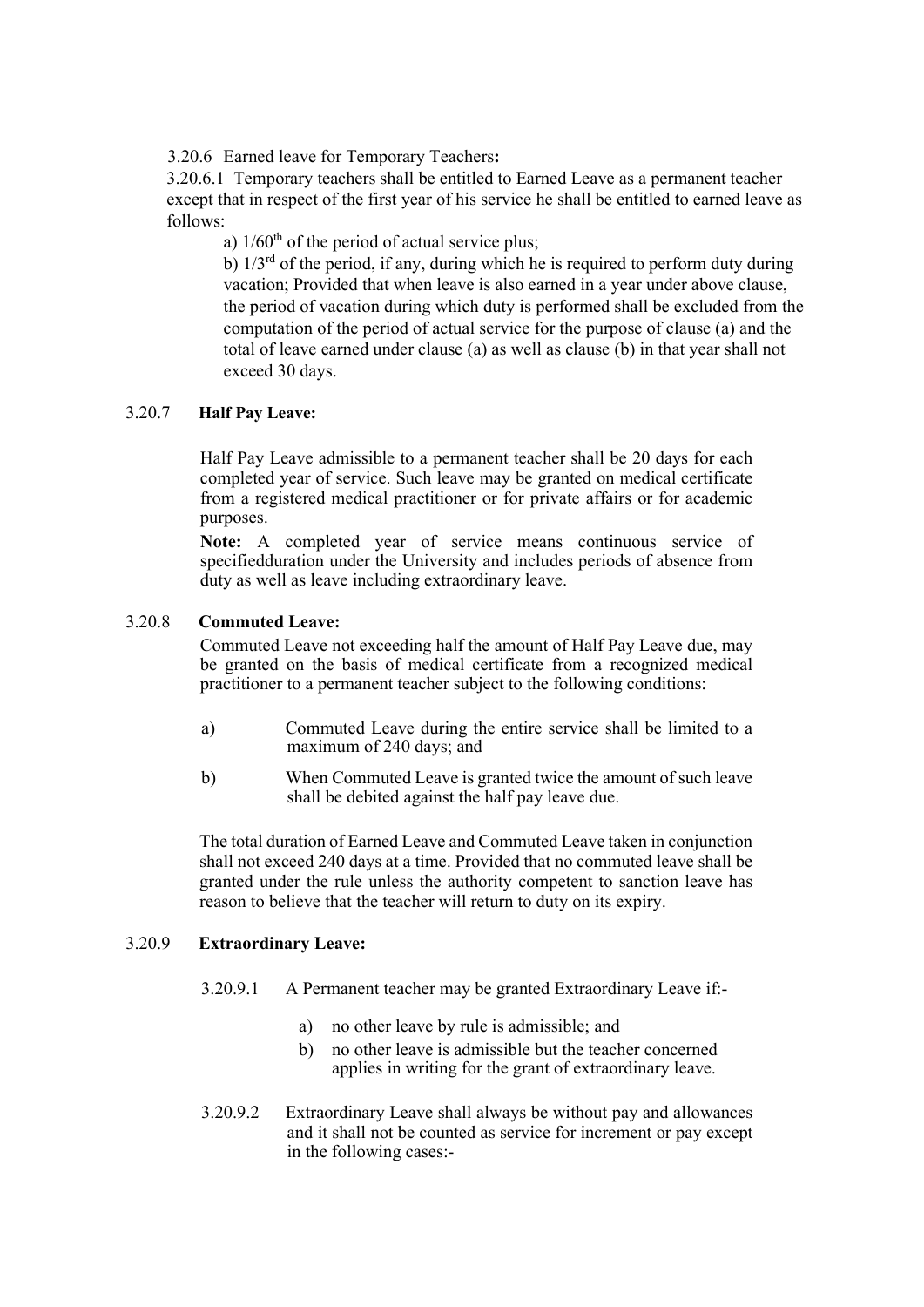3.20.6 Earned leave for Temporary Teachers:

3.20.6.1 Temporary teachers shall be entitled to Earned Leave as a permanent teacher except that in respect of the first year of his service he shall be entitled to earned leave as follows:

a)  $1/60<sup>th</sup>$  of the period of actual service plus;

b)  $1/3<sup>rd</sup>$  of the period, if any, during which he is required to perform duty during vacation; Provided that when leave is also earned in a year under above clause, the period of vacation during which duty is performed shall be excluded from the computation of the period of actual service for the purpose of clause (a) and the total of leave earned under clause (a) as well as clause (b) in that year shall not exceed 30 days.

## 3.20.7 Half Pay Leave:

Half Pay Leave admissible to a permanent teacher shall be 20 days for each completed year of service. Such leave may be granted on medical certificate from a registered medical practitioner or for private affairs or for academic purposes.

Note: A completed year of service means continuous service of specifiedduration under the University and includes periods of absence from duty as well as leave including extraordinary leave.

## 3.20.8 Commuted Leave:

Commuted Leave not exceeding half the amount of Half Pay Leave due, may be granted on the basis of medical certificate from a recognized medical practitioner to a permanent teacher subject to the following conditions:

- a) Commuted Leave during the entire service shall be limited to a maximum of 240 days; and
- b) When Commuted Leave is granted twice the amount of such leave shall be debited against the half pay leave due.

 The total duration of Earned Leave and Commuted Leave taken in conjunction shall not exceed 240 days at a time. Provided that no commuted leave shall be granted under the rule unless the authority competent to sanction leave has reason to believe that the teacher will return to duty on its expiry.

## 3.20.9 Extraordinary Leave:

- 3.20.9.1 A Permanent teacher may be granted Extraordinary Leave if:
	- a) no other leave by rule is admissible; and
	- b) no other leave is admissible but the teacher concerned applies in writing for the grant of extraordinary leave.
- 3.20.9.2 Extraordinary Leave shall always be without pay and allowances and it shall not be counted as service for increment or pay except in the following cases:-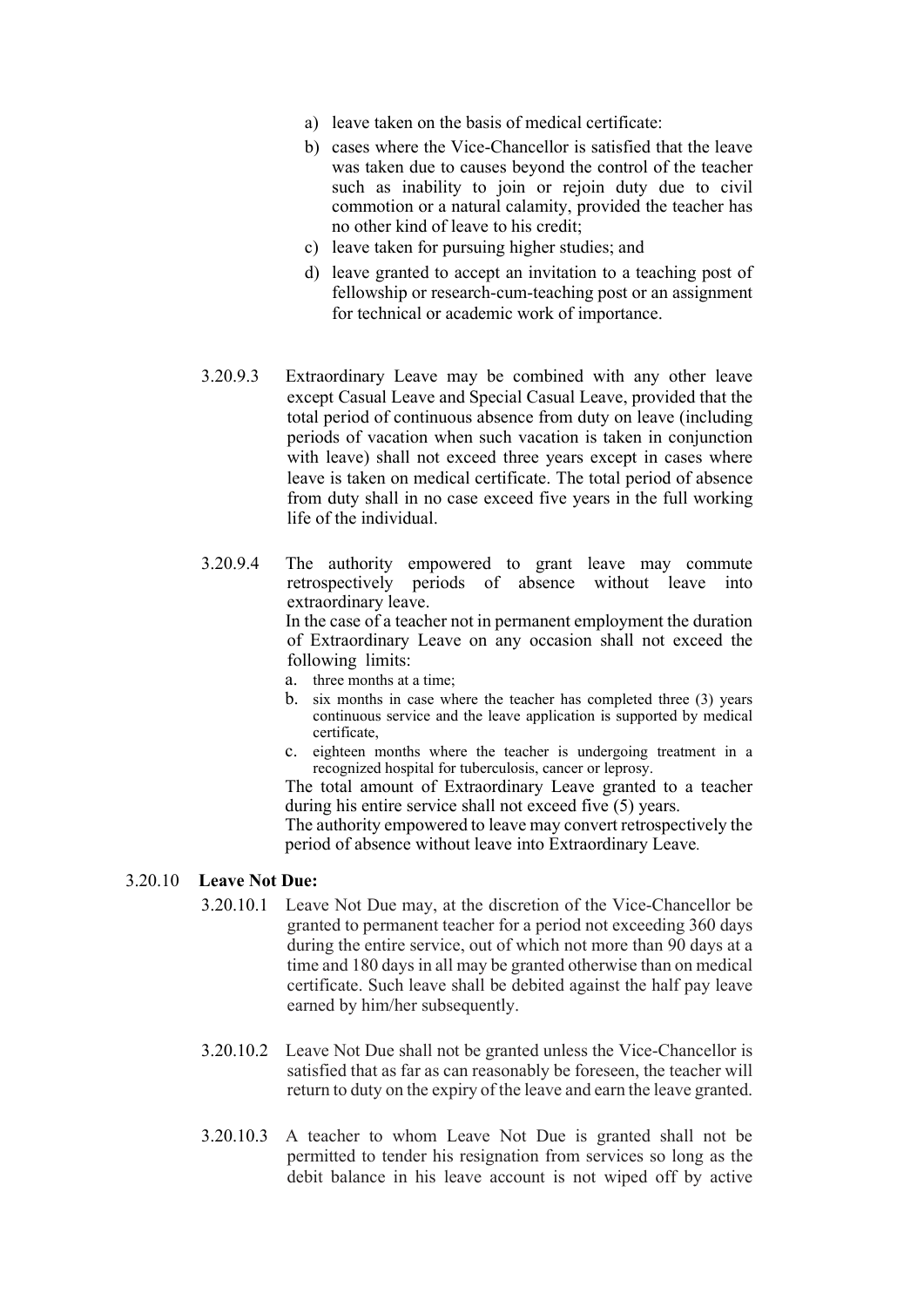- a) leave taken on the basis of medical certificate:
- b) cases where the Vice-Chancellor is satisfied that the leave was taken due to causes beyond the control of the teacher such as inability to join or rejoin duty due to civil commotion or a natural calamity, provided the teacher has no other kind of leave to his credit;
- c) leave taken for pursuing higher studies; and
- d) leave granted to accept an invitation to a teaching post of fellowship or research-cum-teaching post or an assignment for technical or academic work of importance.
- 3.20.9.3 Extraordinary Leave may be combined with any other leave except Casual Leave and Special Casual Leave, provided that the total period of continuous absence from duty on leave (including periods of vacation when such vacation is taken in conjunction with leave) shall not exceed three years except in cases where leave is taken on medical certificate. The total period of absence from duty shall in no case exceed five years in the full working life of the individual.
- 3.20.9.4 The authority empowered to grant leave may commute retrospectively periods of absence without leave into extraordinary leave.

 In the case of a teacher not in permanent employment the duration of Extraordinary Leave on any occasion shall not exceed the following limits:

- a. three months at a time;
- b. six months in case where the teacher has completed three (3) years continuous service and the leave application is supported by medical certificate,
- c. eighteen months where the teacher is undergoing treatment in a recognized hospital for tuberculosis, cancer or leprosy.

The total amount of Extraordinary Leave granted to a teacher during his entire service shall not exceed five (5) years.

The authority empowered to leave may convert retrospectively the period of absence without leave into Extraordinary Leave.

#### 3.20.10 Leave Not Due:

- 3.20.10.1 Leave Not Due may, at the discretion of the Vice-Chancellor be granted to permanent teacher for a period not exceeding 360 days during the entire service, out of which not more than 90 days at a time and 180 days in all may be granted otherwise than on medical certificate. Such leave shall be debited against the half pay leave earned by him/her subsequently.
- 3.20.10.2 Leave Not Due shall not be granted unless the Vice-Chancellor is satisfied that as far as can reasonably be foreseen, the teacher will return to duty on the expiry of the leave and earn the leave granted.
- 3.20.10.3 A teacher to whom Leave Not Due is granted shall not be permitted to tender his resignation from services so long as the debit balance in his leave account is not wiped off by active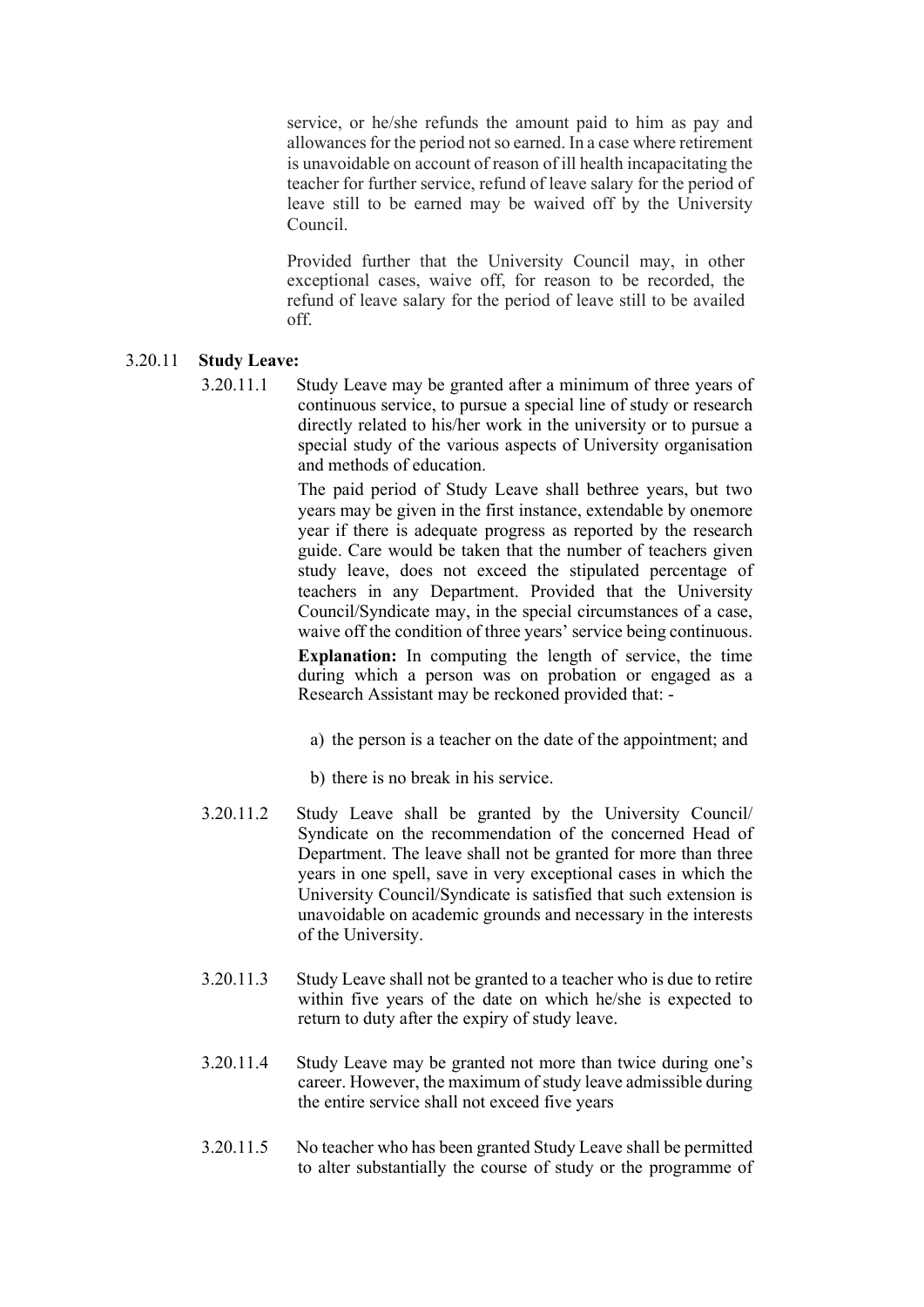service, or he/she refunds the amount paid to him as pay and allowances for the period not so earned. In a case where retirement is unavoidable on account of reason of ill health incapacitating the teacher for further service, refund of leave salary for the period of leave still to be earned may be waived off by the University Council.

Provided further that the University Council may, in other exceptional cases, waive off, for reason to be recorded, the refund of leave salary for the period of leave still to be availed off.

## 3.20.11 Study Leave:

3.20.11.1 Study Leave may be granted after a minimum of three years of continuous service, to pursue a special line of study or research directly related to his/her work in the university or to pursue a special study of the various aspects of University organisation and methods of education.

> The paid period of Study Leave shall bethree years, but two years may be given in the first instance, extendable by onemore year if there is adequate progress as reported by the research guide. Care would be taken that the number of teachers given study leave, does not exceed the stipulated percentage of teachers in any Department. Provided that the University Council/Syndicate may, in the special circumstances of a case, waive off the condition of three years' service being continuous. Explanation: In computing the length of service, the time during which a person was on probation or engaged as a

- a) the person is a teacher on the date of the appointment; and
- b) there is no break in his service.
- 3.20.11.2 Study Leave shall be granted by the University Council/ Syndicate on the recommendation of the concerned Head of Department. The leave shall not be granted for more than three years in one spell, save in very exceptional cases in which the University Council/Syndicate is satisfied that such extension is unavoidable on academic grounds and necessary in the interests of the University.

Research Assistant may be reckoned provided that: -

- 3.20.11.3 Study Leave shall not be granted to a teacher who is due to retire within five years of the date on which he/she is expected to return to duty after the expiry of study leave.
- 3.20.11.4 Study Leave may be granted not more than twice during one's career. However, the maximum of study leave admissible during the entire service shall not exceed five years
- 3.20.11.5 No teacher who has been granted Study Leave shall be permitted to alter substantially the course of study or the programme of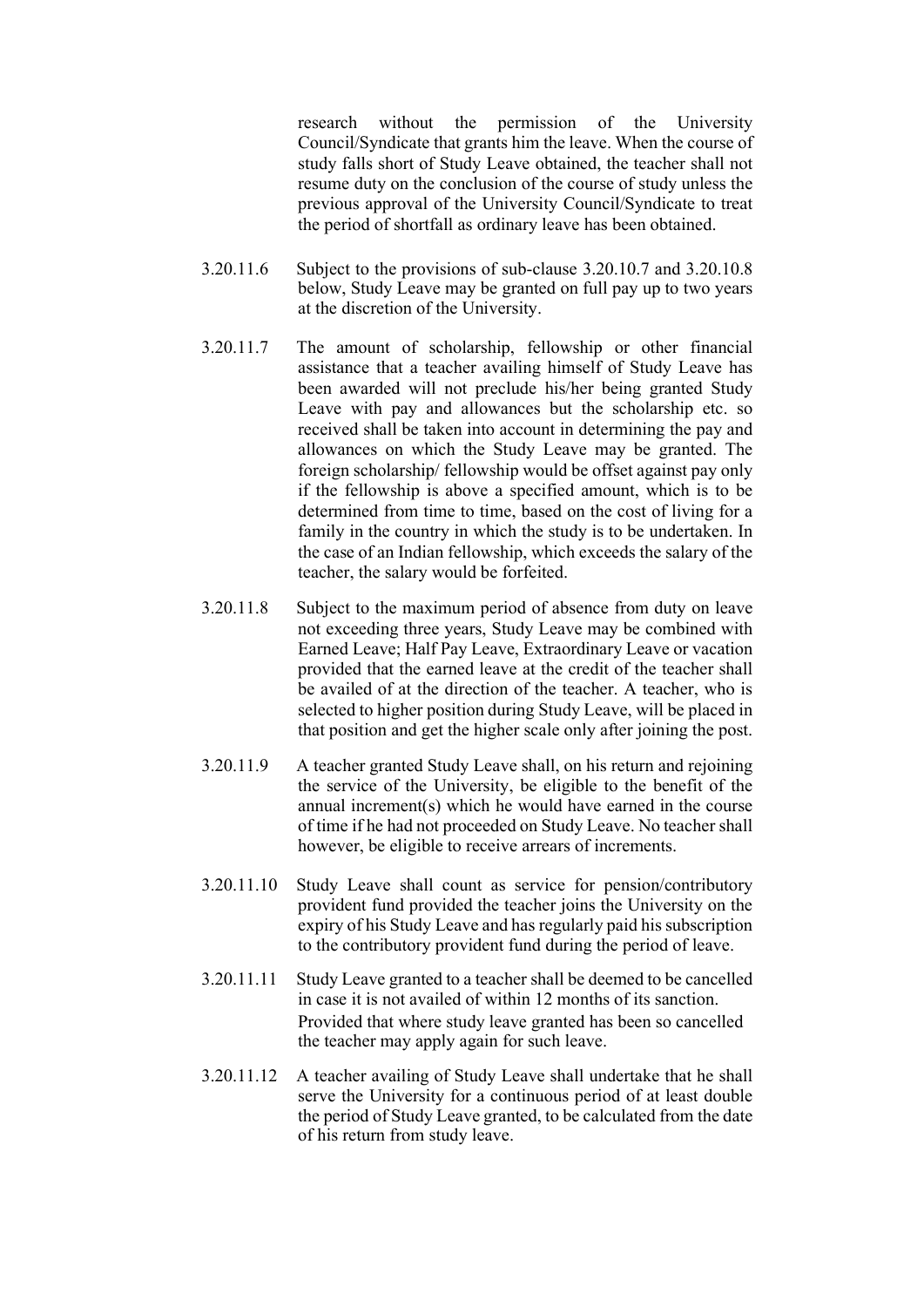research without the permission of the University Council/Syndicate that grants him the leave. When the course of study falls short of Study Leave obtained, the teacher shall not resume duty on the conclusion of the course of study unless the previous approval of the University Council/Syndicate to treat the period of shortfall as ordinary leave has been obtained.

- 3.20.11.6 Subject to the provisions of sub-clause 3.20.10.7 and 3.20.10.8 below, Study Leave may be granted on full pay up to two years at the discretion of the University.
- 3.20.11.7 The amount of scholarship, fellowship or other financial assistance that a teacher availing himself of Study Leave has been awarded will not preclude his/her being granted Study Leave with pay and allowances but the scholarship etc. so received shall be taken into account in determining the pay and allowances on which the Study Leave may be granted. The foreign scholarship/ fellowship would be offset against pay only if the fellowship is above a specified amount, which is to be determined from time to time, based on the cost of living for a family in the country in which the study is to be undertaken. In the case of an Indian fellowship, which exceeds the salary of the teacher, the salary would be forfeited.
- 3.20.11.8 Subject to the maximum period of absence from duty on leave not exceeding three years, Study Leave may be combined with Earned Leave; Half Pay Leave, Extraordinary Leave or vacation provided that the earned leave at the credit of the teacher shall be availed of at the direction of the teacher. A teacher, who is selected to higher position during Study Leave, will be placed in that position and get the higher scale only after joining the post.
- 3.20.11.9 A teacher granted Study Leave shall, on his return and rejoining the service of the University, be eligible to the benefit of the annual increment(s) which he would have earned in the course of time if he had not proceeded on Study Leave. No teacher shall however, be eligible to receive arrears of increments.
- 3.20.11.10 Study Leave shall count as service for pension/contributory provident fund provided the teacher joins the University on the expiry of his Study Leave and has regularly paid his subscription to the contributory provident fund during the period of leave.
- 3.20.11.11 Study Leave granted to a teacher shall be deemed to be cancelled in case it is not availed of within 12 months of its sanction. Provided that where study leave granted has been so cancelled the teacher may apply again for such leave.
- 3.20.11.12 A teacher availing of Study Leave shall undertake that he shall serve the University for a continuous period of at least double the period of Study Leave granted, to be calculated from the date of his return from study leave.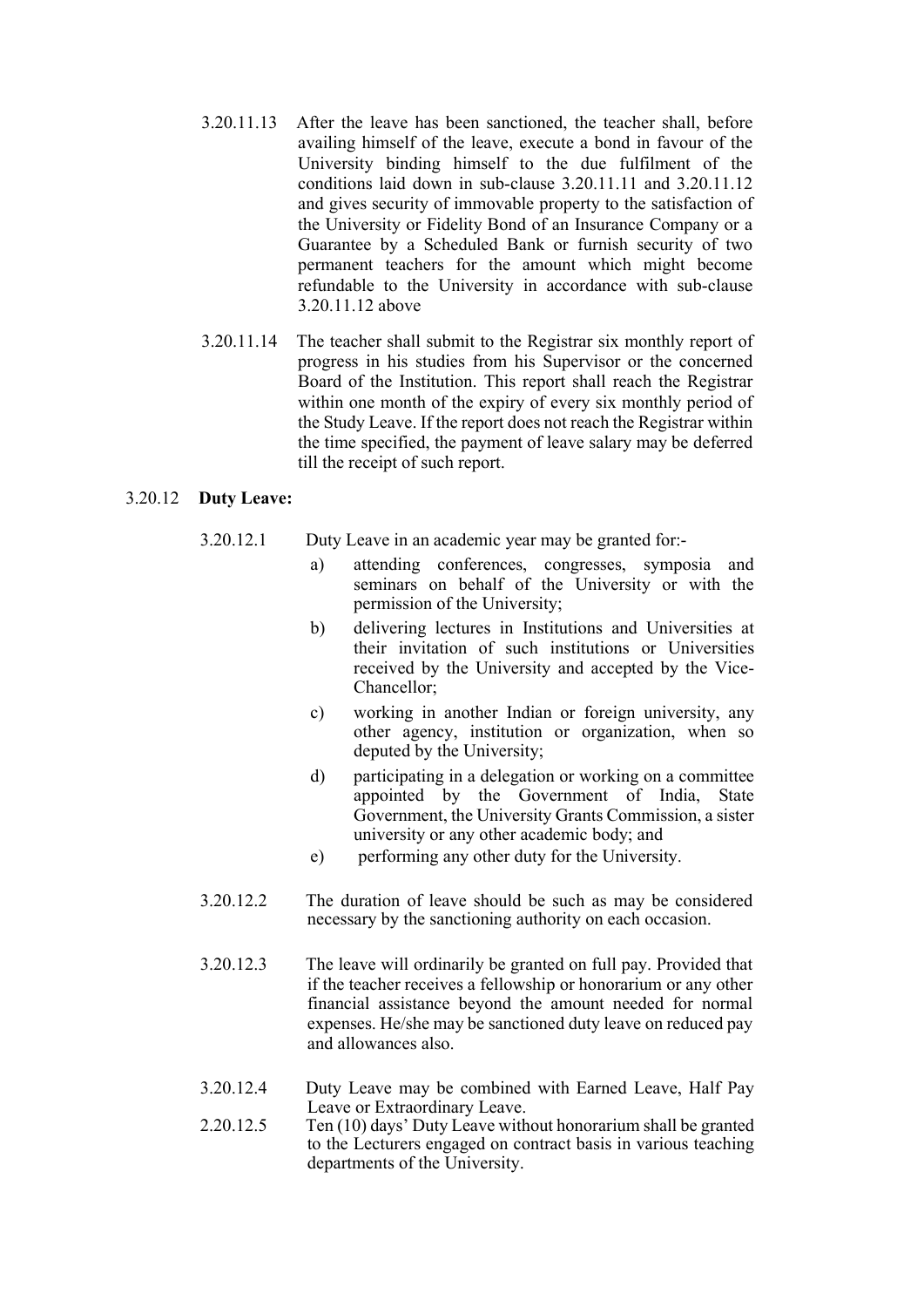- 3.20.11.13 After the leave has been sanctioned, the teacher shall, before availing himself of the leave, execute a bond in favour of the University binding himself to the due fulfilment of the conditions laid down in sub-clause 3.20.11.11 and 3.20.11.12 and gives security of immovable property to the satisfaction of the University or Fidelity Bond of an Insurance Company or a Guarantee by a Scheduled Bank or furnish security of two permanent teachers for the amount which might become refundable to the University in accordance with sub-clause 3.20.11.12 above
- 3.20.11.14 The teacher shall submit to the Registrar six monthly report of progress in his studies from his Supervisor or the concerned Board of the Institution. This report shall reach the Registrar within one month of the expiry of every six monthly period of the Study Leave. If the report does not reach the Registrar within the time specified, the payment of leave salary may be deferred till the receipt of such report.

## 3.20.12 Duty Leave:

- 3.20.12.1 Duty Leave in an academic year may be granted for:
	- a) attending conferences, congresses, symposia and seminars on behalf of the University or with the permission of the University;
	- b) delivering lectures in Institutions and Universities at their invitation of such institutions or Universities received by the University and accepted by the Vice-Chancellor;
	- c) working in another Indian or foreign university, any other agency, institution or organization, when so deputed by the University;
	- d) participating in a delegation or working on a committee appointed by the Government of India, State Government, the University Grants Commission, a sister university or any other academic body; and
	- e) performing any other duty for the University.
- 3.20.12.2 The duration of leave should be such as may be considered necessary by the sanctioning authority on each occasion.
- 3.20.12.3 The leave will ordinarily be granted on full pay. Provided that if the teacher receives a fellowship or honorarium or any other financial assistance beyond the amount needed for normal expenses. He/she may be sanctioned duty leave on reduced pay and allowances also.
- 3.20.12.4 Duty Leave may be combined with Earned Leave, Half Pay Leave or Extraordinary Leave.
- 2.20.12.5 Ten (10) days' Duty Leave without honorarium shall be granted to the Lecturers engaged on contract basis in various teaching departments of the University.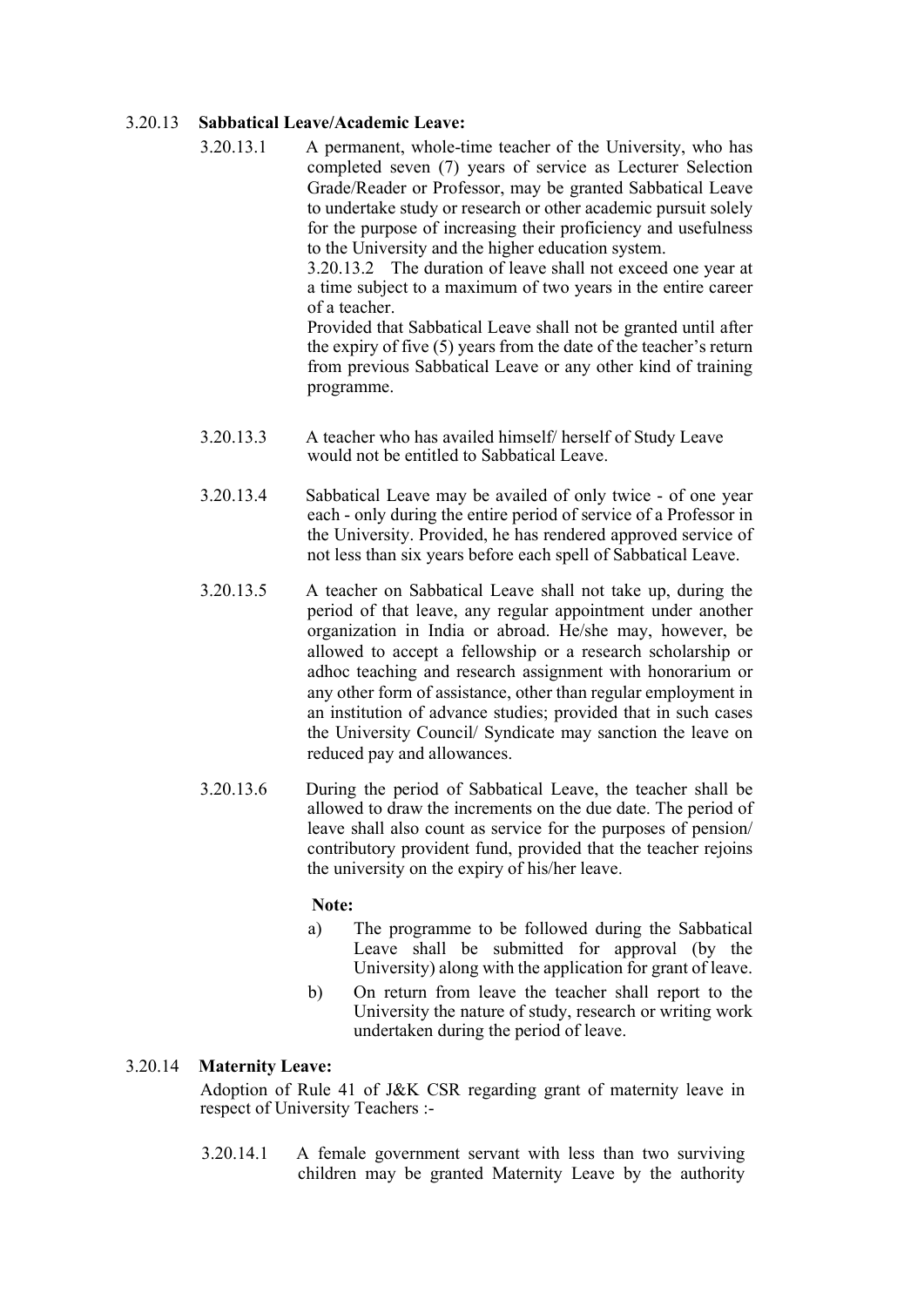#### 3.20.13 Sabbatical Leave/Academic Leave:

3.20.13.1 A permanent, whole-time teacher of the University, who has completed seven (7) years of service as Lecturer Selection Grade/Reader or Professor, may be granted Sabbatical Leave to undertake study or research or other academic pursuit solely for the purpose of increasing their proficiency and usefulness to the University and the higher education system.

3.20.13.2 The duration of leave shall not exceed one year at a time subject to a maximum of two years in the entire career of a teacher.

Provided that Sabbatical Leave shall not be granted until after the expiry of five (5) years from the date of the teacher's return from previous Sabbatical Leave or any other kind of training programme.

- 3.20.13.3 A teacher who has availed himself/ herself of Study Leave would not be entitled to Sabbatical Leave.
- 3.20.13.4 Sabbatical Leave may be availed of only twice of one year each - only during the entire period of service of a Professor in the University. Provided, he has rendered approved service of not less than six years before each spell of Sabbatical Leave.
- 3.20.13.5 A teacher on Sabbatical Leave shall not take up, during the period of that leave, any regular appointment under another organization in India or abroad. He/she may, however, be allowed to accept a fellowship or a research scholarship or adhoc teaching and research assignment with honorarium or any other form of assistance, other than regular employment in an institution of advance studies; provided that in such cases the University Council/ Syndicate may sanction the leave on reduced pay and allowances.
- 3.20.13.6 During the period of Sabbatical Leave, the teacher shall be allowed to draw the increments on the due date. The period of leave shall also count as service for the purposes of pension/ contributory provident fund, provided that the teacher rejoins the university on the expiry of his/her leave.

#### Note:

- a) The programme to be followed during the Sabbatical Leave shall be submitted for approval (by the University) along with the application for grant of leave.
- b) On return from leave the teacher shall report to the University the nature of study, research or writing work undertaken during the period of leave.

## 3.20.14 Maternity Leave:

Adoption of Rule 41 of J&K CSR regarding grant of maternity leave in respect of University Teachers :-

3.20.14.1 A female government servant with less than two surviving children may be granted Maternity Leave by the authority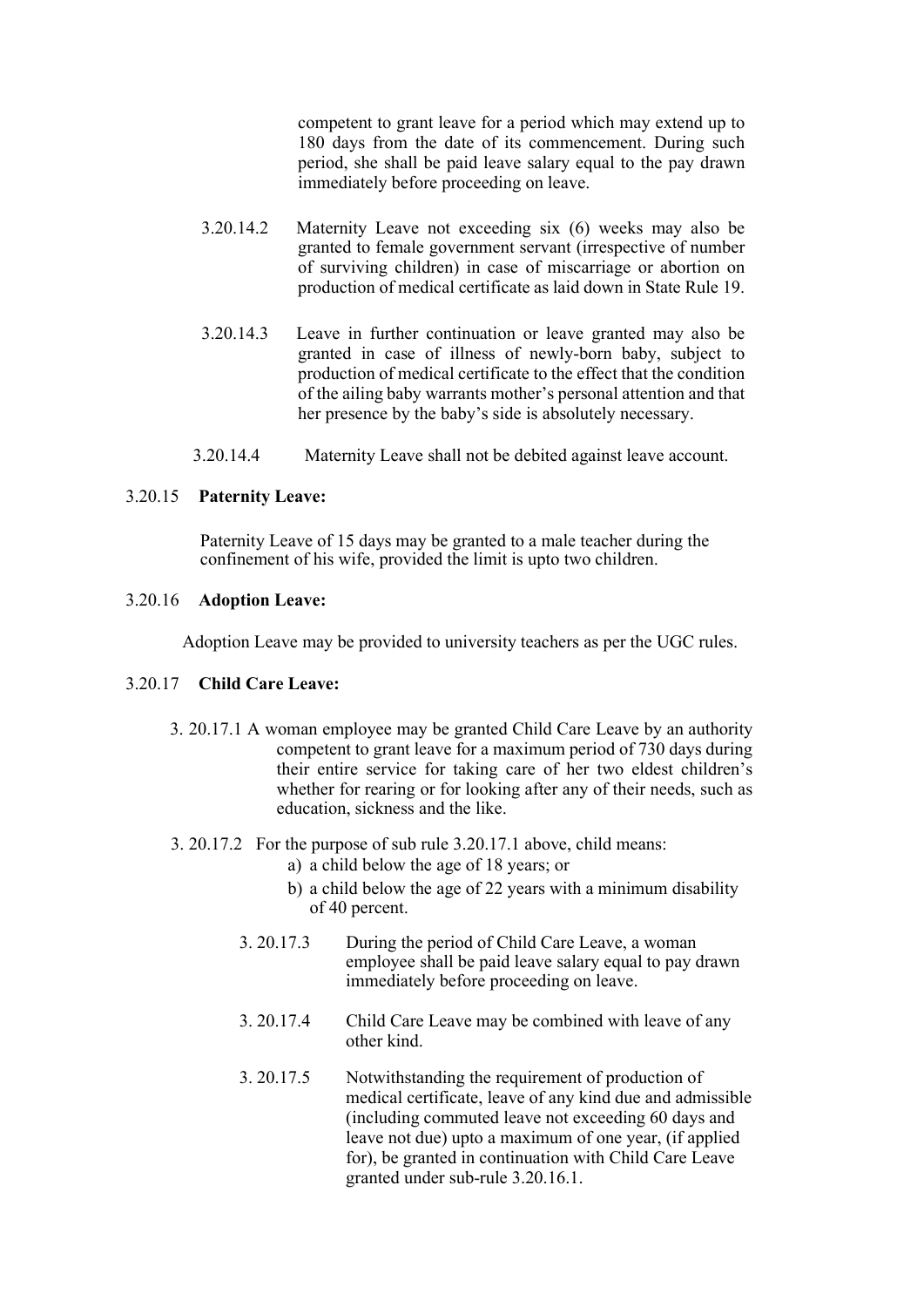competent to grant leave for a period which may extend up to 180 days from the date of its commencement. During such period, she shall be paid leave salary equal to the pay drawn immediately before proceeding on leave.

- 3.20.14.2 Maternity Leave not exceeding six (6) weeks may also be granted to female government servant (irrespective of number of surviving children) in case of miscarriage or abortion on production of medical certificate as laid down in State Rule 19.
- 3.20.14.3 Leave in further continuation or leave granted may also be granted in case of illness of newly-born baby, subject to production of medical certificate to the effect that the condition of the ailing baby warrants mother's personal attention and that her presence by the baby's side is absolutely necessary.
- 3.20.14.4 Maternity Leave shall not be debited against leave account.

#### 3.20.15 Paternity Leave:

Paternity Leave of 15 days may be granted to a male teacher during the confinement of his wife, provided the limit is upto two children.

## 3.20.16 Adoption Leave:

Adoption Leave may be provided to university teachers as per the UGC rules.

#### 3.20.17 Child Care Leave:

- 3. 20.17.1 A woman employee may be granted Child Care Leave by an authority competent to grant leave for a maximum period of 730 days during their entire service for taking care of her two eldest children's whether for rearing or for looking after any of their needs, such as education, sickness and the like.
- 3. 20.17.2 For the purpose of sub rule 3.20.17.1 above, child means:
	- a) a child below the age of 18 years; or
	- b) a child below the age of 22 years with a minimum disability of 40 percent.
	- 3. 20.17.3 During the period of Child Care Leave, a woman employee shall be paid leave salary equal to pay drawn immediately before proceeding on leave.
	- 3. 20.17.4 Child Care Leave may be combined with leave of any other kind.
	- 3. 20.17.5 Notwithstanding the requirement of production of medical certificate, leave of any kind due and admissible (including commuted leave not exceeding 60 days and leave not due) upto a maximum of one year, (if applied for), be granted in continuation with Child Care Leave granted under sub-rule 3.20.16.1.